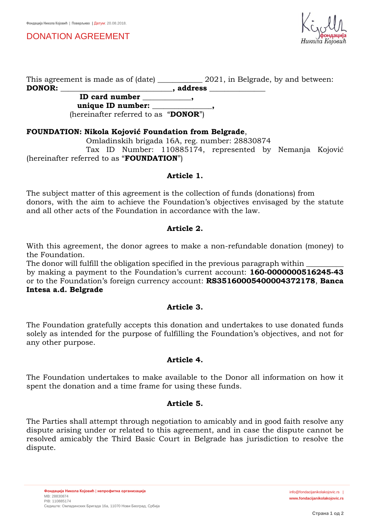DONATION AGREEMENT



This agreement is made as of (date) 2021, in Belgrade, by and between: **DONOR: \_\_\_\_\_\_\_\_\_\_\_\_\_\_\_\_\_\_\_\_\_\_\_\_\_\_\_\_\_\_, address \_\_\_\_\_\_\_\_\_\_\_\_\_\_\_** 

 **ID card number \_\_\_\_\_\_\_\_\_\_\_\_\_,** unique ID number:

(hereinafter referred to as "**DONOR**")

#### **FOUNDATION: Nikola Kojović Foundation from Belgrade**,

Omladinskih brigada 16A, reg. number: 28830874

 Tax ID Number: 110885174, represented by Nemanja Kojović (hereinafter referred to as "**FOUNDATION**")

#### **Article 1.**

The subject matter of this agreement is the collection of funds (donations) from donors, with the aim to achieve the Foundation's objectives envisaged by the statute and all other acts of the Foundation in accordance with the law.

#### **Article 2.**

With this agreement, the donor agrees to make a non-refundable donation (money) to the Foundation.

The donor will fulfill the obligation specified in the previous paragraph within

by making a payment to the Foundation's current account: **160-0000000516245-43** or to the Foundation's foreign currency account: **RS35160005400004372178**, **Banca Intesa a.d. Belgrade**

#### **Article 3.**

The Foundation gratefully accepts this donation and undertakes to use donated funds solely as intended for the purpose of fulfilling the Foundation's objectives, and not for any other purpose.

#### **Article 4.**

The Foundation undertakes to make available to the Donor all information on how it spent the donation and a time frame for using these funds.

## **Article 5.**

The Parties shall attempt through negotiation to amicably and in good faith resolve any dispute arising under or related to this agreement, and in case the dispute cannot be resolved amicably the Third Basic Court in Belgrade has jurisdiction to resolve the dispute.